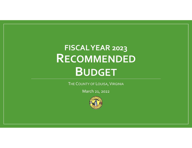# **FISCALYEAR 2023 RECOMMENDED BUDGET**

THE COUNTY OF LOUISA**,** VIRGINIA

March 21, 2022

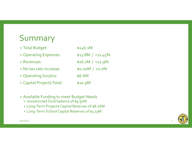## Summary

- Total Budget: \$146.1M • Operating Expenses:  $$13.8M$  / +11.45% • Revenues:  $$16.1M$  $$16.1M / +12.9\%$ • No tax rate increase:  $\blacksquare$  \$0.00M  $$0.00M / +0.0\%$ • Operating Surplus:  $$6.6M$ • Capital Projects Total:  $$10.9M$
- Available Funding to meet Budget Needs
	- Unrestricted fund balance of \$9.97M
	- Long‐Term Projects Capital Reserves of \$8.26M
	- Long‐Term School Capital Reserves of \$3.13M

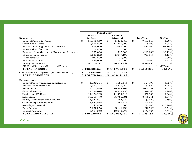|                                              | <b>Fiscal Year</b> |               |    |                |             |            |             |
|----------------------------------------------|--------------------|---------------|----|----------------|-------------|------------|-------------|
|                                              |                    | <b>FY2022</b> |    | <b>FY2023</b>  |             |            |             |
| <b>Revenues</b>                              |                    | <b>Budget</b> |    | <b>Adopted</b> |             | Inc./Dec.  | $%$ Chg.    |
| <b>General Property Taxes</b>                | \$                 | 67,890,149    | \$ | 75,493,718     | \$          | 7,603,569  | 11.20%      |
| <b>Other Local Taxes</b>                     |                    | 10,160,000    |    | 11,485,000     |             | 1,325,000  | 13.04%      |
| Permits, Privilege Fees and Licenses         |                    | 613,000       |    | 1,031,000      |             | 418,000    | 68.19%      |
| <b>Fines and Forfeitures</b>                 |                    | 70,000        |    | 70,000         |             |            | $0.00\%$    |
| Revenue from the Use of Money and Property   |                    | 805,000       |    | 562,000        |             | (243,000)  | $-30.19%$   |
| <b>Charges for Services</b>                  |                    | 5,123,293     |    | 5,847,109      |             | 723,816    | 14.13%      |
| Miscellaneous                                |                    | 190,000       |    | 190,000        |             |            | $0.00\%$    |
| <b>Recovered Costs</b>                       |                    | 120,000       |    | 140,000        |             | 20,000     | 16.67%      |
| Intergovernmental                            |                    | 40,664,121    |    | 46,974,951     |             | 6,310,830  | 15.52%      |
| CIP Bond Revenue/Borrowed Funds              |                    |               |    |                |             |            | $\#$ DIV/0! |
| <b>TOTAL REVENUES</b>                        | \$                 | 125,635,563   |    | \$141,793,778  | S           | 16,158,215 | 12.86%      |
| Fund Balance - Usage of / (Surplus Added to) | \$                 | 3,193,403     | \$ | 4,270,367      |             |            |             |
| <b>TOTAL RESOURCES</b>                       |                    | \$128,828,966 |    | \$146,064,145  |             |            |             |
| <b>Expenditures</b>                          |                    |               |    |                |             |            |             |
| <b>General Government Administration</b>     | \$                 | 4,038,254     | \$ | 4,565,444      | \$          | 527,190    | 13.05%      |
| <b>Judicial Administration</b>               |                    | 2,373,377     |    | 2,735,954      |             | 362,577    | 15.28%      |
| <b>Public Safety</b>                         |                    | 16,407,069    |    | 19,455,307     |             | 3,048,238  | 18.58%      |
| <b>General Services</b>                      |                    | 4,338,874     |    | 4,913,433      |             | 574,560    | 13.24%      |
| <b>Health and Welfare</b>                    |                    | 11,426,943    |    | 11,959,249     |             | 532,306    | 4.66%       |
| Education                                    |                    | 73,289,470    |    | 81,765,681     |             | 8,476,211  | 11.57%      |
| Parks, Recreation, and Cultural              |                    | 1,647,804     |    | 1,644,727      |             | (3,077)    | $-0.19%$    |
| <b>Community Development</b>                 |                    | 1,887,085     |    | 2,281,922      |             | 394,836    | 20.92%      |
| Non-departmental                             |                    | 853,000       |    | 760,000        |             | (93,000)   | $-10.90\%$  |
| Debt Service                                 |                    | 5,152,250     |    | 5,141,454      |             | (10,796)   | $-0.21%$    |
| <b>Capital Projects</b>                      |                    | 7,414,840     |    | 10,840,975     |             | 3,426,135  | 46.21%      |
| <b>TOTAL EXPENDITURES</b>                    |                    | \$128,828,966 |    | \$146,064,145  | $\mathbf S$ | 17,235,180 | 13.38%      |

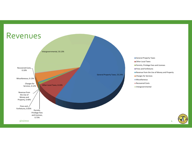

- General Property Taxes
- Other Local Taxes
- **Permits, Privilege Fees and Licenses**
- Fines and Forfeitures
- Revenue from the Use of Money and Property
- **Charges for Services**
- Miscellaneous
- 
- Intergovernmental

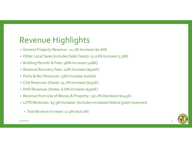## Revenue Highlights

- General Property Revenue: 11.2% Increase (\$7.6M)
- Other LocalTaxes (Includes SalesTaxes): 15.02% Increase (1.3M)
- Building Permits & Fees: 96% Increase (408K)
- Revenue Recovery Fees: 20% Increase (\$300K)
- Parks & Rec Revenues: 53% Increase (\$160K)
- CSA Revenues (State): 13.2% Increase (\$250K)
- DHS Revenues (State): 6.6% Increase (\$300K)
- Revenue from Use of Money & Property: ‐30.2% Decrease (\$243K)
- LCPS Revenues: \$5.5M Increase (Includes increased federal gran<sup>t</sup> revenues)
	- Total Revenue Increase: 12.9% (\$16.1M)

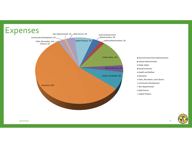# Expenses



General Government Administration

- Judicial Administration
- Public Safety
- General Services
- **Health and Welfare**
- 
- **Parks, Recreation, and Cultural**
- Community Development
- Non-departmental
- Debt Service
- Capital Projects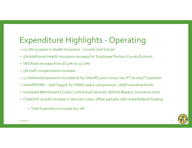## Expenditure Highlights ‐ Operating

- 12.2% increase in Health Insurance County and School
- 4% Additional Health Insurance Increase for Employee Portion‐County/Schools
- VRS Rate Increase from 8.51% to 10.07%
- 5% staff compensation increase
- 12 Additional positions included (6 for Sheriff); plus moves two PT to one FT position
- Sheriff/FEMS Add'l \$591K for FEMS salary compression ; Add'l overtime funds
- Increased Maintenance Costs, Contractual Services, Vehicle Repairs, Insurance costs
- CSA/DHS: \$100K increase in Services Costs; offset partially with state/federal funding
	- Total Expenditure Increase \$17.2M

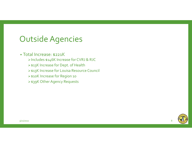#### OutsideAgencies

#### • Total Increase: \$221K

- Includes \$146K Increase for CVRJ & RJC
- > \$13K Increase for Dept. of Health
- \$13K Increase for Louisa Resource Council
- \$10K Increase for Region <sup>10</sup>
- \$39K Other Agency Requests

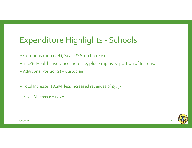## Expenditure Highlights ‐ Schools

- Compensation (5%), Scale & Step Increases
- 12.2% Health Insurance Increase, plus Employee portion of Increase
- Additional Position(s) Custodian
- Total Increase: \$8.2M (less increased revenues of \$5.5)
	- Net Difference <sup>=</sup> \$2.7M

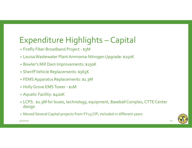## Expenditure Highlights – Capital

- Firefly Fiber Broadband Project ‐ \$3M
- LouisaWastewater PlantAmmonia‐NitrogenUpgrade: \$250K
- Bowler's Mill Dam Improvements: \$250K
- SheriffVehicle Replacements: \$565K
- FEMSApparatus Replacements: \$1.3M
- Holly Grove EMS Tower \$1M
- Aquatic Facility: \$400K
- LCPS: \$2.3M for buses, technology, equipment, Baseball Complex, CTTE Center design
- Moved Several Capital projects from FY23 CIP; included in different years

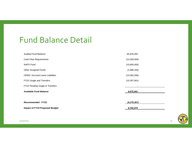#### Fund Balance Detail

| <b>Impact of FY23 Proposed Budget</b>   | 5,702,574      |
|-----------------------------------------|----------------|
| <b>Recommended - FY23</b>               | (4, 270, 367)  |
|                                         |                |
| <b>Available Fund Balance</b>           | 9,972,941      |
| FY22 Pending Usage & Transfers          |                |
| FY22 Usage and Transfers                | (10, 307, 061) |
| <b>OPEB</b> / Accrued Leave Liabilities | (15, 562, 936) |
| <b>Other Assigned Funds</b>             | (1,986,345)    |
| <b>NAPS Fund</b>                        | (15,800,000)   |
| <b>Cash Flow Requirements</b>           | (12,000,000)   |
| <b>Audited Fund Balance</b>             | 65,629,283     |

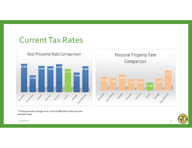#### CurrentTax Rates



\*\*Orange County charges an \$.11 Fire & EMS District fee per \$100 assessed value



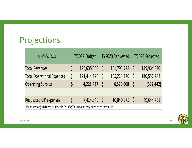# Projections

| As of 3/21/2022                                                                    |              | FY2022 Budget    |            | FY2023 Requested | FY2024 Projected |             |
|------------------------------------------------------------------------------------|--------------|------------------|------------|------------------|------------------|-------------|
| <b>Total Revenues</b>                                                              |              | $125,635,563$ \$ |            | 141,793,778 \$   |                  | 139,964,840 |
| <b>Total Operational Expenses</b>                                                  | \$           | $121,414,126$ \$ |            | 135,223,170 \$   |                  | 140,557,282 |
| <b>Operating Surplus</b>                                                           | \$           | 4,221,437        | $\sqrt{S}$ | 6,570,608        | $\mathcal{S}$    | (592, 442)  |
|                                                                                    |              |                  |            |                  |                  |             |
| Requested CIP expenses                                                             | $\mathsf{S}$ | 7,414,840 \$     |            | 10,840,975 \$    |                  | 49,644,791  |
| *Plans are for \$30M debt issuance in FY2024; This amount may need to be increased |              |                  |            |                  |                  |             |

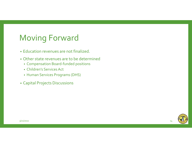#### Moving Forward

- Education revenues are not finalized.
- Other state revenues are to be determined
	- Compensation Board‐funded positions
	- Children's Services Act
	- Human Services Programs (DHS)
- Capital Projects Discussions